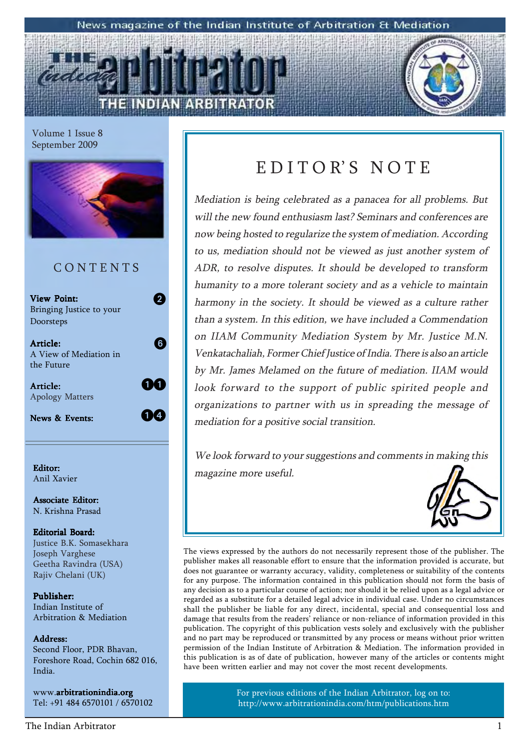#### News magazine of the Indian Institute of Arbitration & Mediation

Volume 1 Issue 8 September 2009



#### C O N T E N T S

| <b>View Point:</b><br>Bringing Justice to your   |  |
|--------------------------------------------------|--|
| Doorsteps                                        |  |
| Article:<br>A View of Mediation in<br>the Future |  |
| Article:<br><b>Apology Matters</b>               |  |
| News & Events:                                   |  |

Anil Xavier

Associate Editor: N. Krishna Prasad

#### Editorial Board: Justice B.K. Somasekhara Joseph Varghese Geetha Ravindra (USA) Rajiv Chelani (UK)

Publisher: Indian Institute of Arbitration & Mediation

#### Address: Address:

Second Floor, PDR Bhavan, Foreshore Road, Cochin 682 016, India.

www.arbitrationindia.org Tel: +91 484 6570101 / 6570102

### EDITOR'S NOTE

Mediation is being celebrated as a panacea for all problems. But will the new found enthusiasm last? Seminars and conferences are now being hosted to regularize the system of mediation. According to us, mediation should not be viewed as just another system of ADR, to resolve disputes. It should be developed to transform humanity to a more tolerant society and as a vehicle to maintain harmony in the society. It should be viewed as a culture rather than a system. In this edition, we have included a Commendation on IIAM Community Mediation System by Mr. Justice M.N. Venkatachaliah, Former Chief Justice of India. There is also an article by Mr. James Melamed on the future of mediation. IIAM would look forward to the support of public spirited people and organizations to partner with us in spreading the message of mediation for a positive social transition.

We look forward to your suggestions and comments in making this Editor:<br>  $\parallel$  magazine more useful.



The views expressed by the authors do not necessarily represent those of the publisher. The publisher makes all reasonable effort to ensure that the information provided is accurate, but does not guarantee or warranty accuracy, validity, completeness or suitability of the contents for any purpose. The information contained in this publication should not form the basis of any decision as to a particular course of action; nor should it be relied upon as a legal advice or regarded as a substitute for a detailed legal advice in individual case. Under no circumstances shall the publisher be liable for any direct, incidental, special and consequential loss and damage that results from the readers' reliance or non-reliance of information provided in this publication. The copyright of this publication vests solely and exclusively with the publisher and no part may be reproduced or transmitted by any process or means without prior written permission of the Indian Institute of Arbitration & Mediation. The information provided in this publication is as of date of publication, however many of the articles or contents might have been written earlier and may not cover the most recent developments.

> For previous editions of the Indian Arbitrator, log on to: http://www.arbitrationindia.com/htm/publications.htm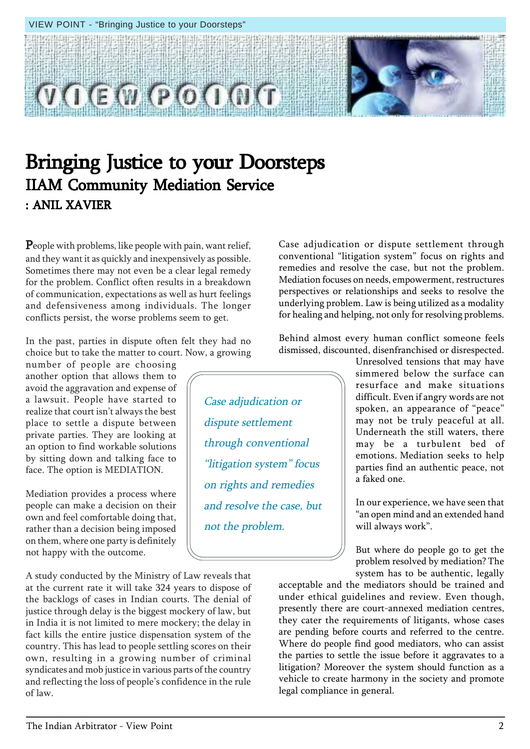

Case adjudication or

through conventional

"litigation system" focus

on rights and remedies

and resolve the case, but

not the problem.

dispute settlement

### Bringing Justice to your Doorsteps IIAM Community Mediation Service : ANIL XAVIER

People with problems, like people with pain, want relief, and they want it as quickly and inexpensively as possible. Sometimes there may not even be a clear legal remedy for the problem. Conflict often results in a breakdown of communication, expectations as well as hurt feelings and defensiveness among individuals. The longer conflicts persist, the worse problems seem to get.

In the past, parties in dispute often felt they had no choice but to take the matter to court. Now, a growing

number of people are choosing another option that allows them to avoid the aggravation and expense of a lawsuit. People have started to realize that court isn't always the best place to settle a dispute between private parties. They are looking at an option to find workable solutions by sitting down and talking face to face. The option is MEDIATION.

Mediation provides a process where people can make a decision on their own and feel comfortable doing that, rather than a decision being imposed on them, where one party is definitely not happy with the outcome.

A study conducted by the Ministry of Law reveals that at the current rate it will take 324 years to dispose of the backlogs of cases in Indian courts. The denial of justice through delay is the biggest mockery of law, but in India it is not limited to mere mockery; the delay in fact kills the entire justice dispensation system of the country. This has lead to people settling scores on their own, resulting in a growing number of criminal syndicates and mob justice in various parts of the country and reflecting the loss of people's confidence in the rule of law.

Case adjudication or dispute settlement through conventional "litigation system" focus on rights and remedies and resolve the case, but not the problem. Mediation focuses on needs, empowerment, restructures perspectives or relationships and seeks to resolve the underlying problem. Law is being utilized as a modality for healing and helping, not only for resolving problems.

Behind almost every human conflict someone feels dismissed, discounted, disenfranchised or disrespected.

> Unresolved tensions that may have simmered below the surface can resurface and make situations difficult. Even if angry words are not spoken, an appearance of "peace" may not be truly peaceful at all. Underneath the still waters, there may be a turbulent bed of emotions. Mediation seeks to help parties find an authentic peace, not a faked one.

> In our experience, we have seen that ìan open mind and an extended hand will always work".

> But where do people go to get the problem resolved by mediation? The system has to be authentic, legally

acceptable and the mediators should be trained and under ethical guidelines and review. Even though, presently there are court-annexed mediation centres, they cater the requirements of litigants, whose cases are pending before courts and referred to the centre. Where do people find good mediators, who can assist the parties to settle the issue before it aggravates to a litigation? Moreover the system should function as a vehicle to create harmony in the society and promote legal compliance in general.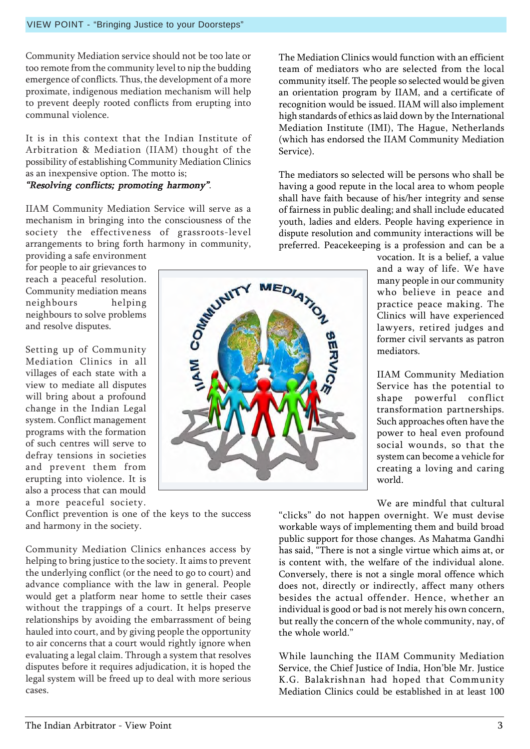Community Mediation service should not be too late or too remote from the community level to nip the budding emergence of conflicts. Thus, the development of a more proximate, indigenous mediation mechanism will help to prevent deeply rooted conflicts from erupting into communal violence.

VIEW POINT - "Bringing Justice to your Doorsteps"

It is in this context that the Indian Institute of Arbitration & Mediation (IIAM) thought of the possibility of establishing Community Mediation Clinics as an inexpensive option. The motto is;

#### "Resolving conflicts; promoting harmony".

IIAM Community Mediation Service will serve as a mechanism in bringing into the consciousness of the society the effectiveness of grassroots-level arrangements to bring forth harmony in community,

providing a safe environment for people to air grievances to reach a peaceful resolution. Community mediation means neighbours helping neighbours to solve problems and resolve disputes.

Setting up of Community Mediation Clinics in all villages of each state with a view to mediate all disputes will bring about a profound change in the Indian Legal system. Conflict management programs with the formation of such centres will serve to defray tensions in societies and prevent them from erupting into violence. It is also a process that can mould a more peaceful society.

Conflict prevention is one of the keys to the success and harmony in the society.

Community Mediation Clinics enhances access by helping to bring justice to the society. It aims to prevent the underlying conflict (or the need to go to court) and advance compliance with the law in general. People would get a platform near home to settle their cases without the trappings of a court. It helps preserve relationships by avoiding the embarrassment of being hauled into court, and by giving people the opportunity to air concerns that a court would rightly ignore when evaluating a legal claim. Through a system that resolves disputes before it requires adjudication, it is hoped the legal system will be freed up to deal with more serious cases.

The Mediation Clinics would function with an efficient team of mediators who are selected from the local community itself. The people so selected would be given an orientation program by IIAM, and a certificate of recognition would be issued. IIAM will also implement high standards of ethics as laid down by the International Mediation Institute (IMI), The Hague, Netherlands (which has endorsed the IIAM Community Mediation Service).

The mediators so selected will be persons who shall be having a good repute in the local area to whom people shall have faith because of his/her integrity and sense of fairness in public dealing; and shall include educated youth, ladies and elders. People having experience in dispute resolution and community interactions will be preferred. Peacekeeping is a profession and can be a

> vocation. It is a belief, a value and a way of life. We have many people in our community who believe in peace and practice peace making. The Clinics will have experienced lawyers, retired judges and former civil servants as patron mediators.

> IIAM Community Mediation Service has the potential to shape powerful conflict transformation partnerships. Such approaches often have the power to heal even profound social wounds, so that the system can become a vehicle for creating a loving and caring world.

> We are mindful that cultural

ìclicksî do not happen overnight. We must devise workable ways of implementing them and build broad public support for those changes. As Mahatma Gandhi has said, "There is not a single virtue which aims at, or is content with, the welfare of the individual alone. Conversely, there is not a single moral offence which does not, directly or indirectly, affect many others besides the actual offender. Hence, whether an individual is good or bad is not merely his own concern, but really the concern of the whole community, nay, of the whole world."

While launching the IIAM Community Mediation Service, the Chief Justice of India, Hon'ble Mr. Justice K.G. Balakrishnan had hoped that Community Mediation Clinics could be established in at least 100

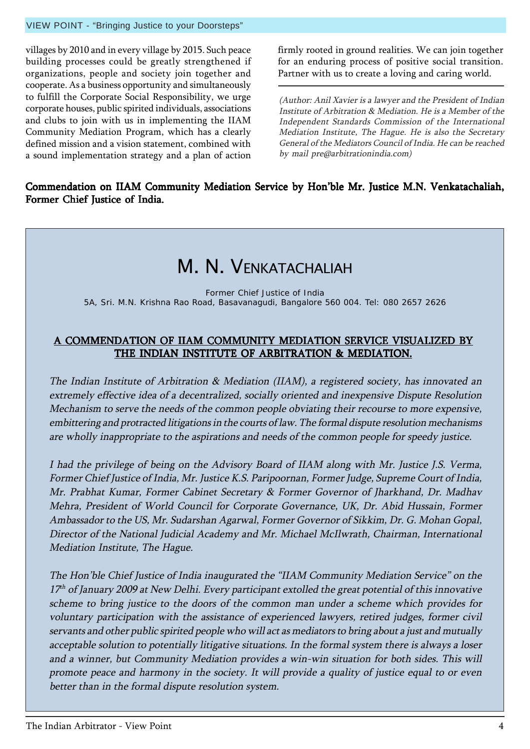#### VIEW POINT - "Bringing Justice to your Doorsteps"

villages by 2010 and in every village by 2015. Such peace building processes could be greatly strengthened if organizations, people and society join together and cooperate. As a business opportunity and simultaneously to fulfill the Corporate Social Responsibility, we urge corporate houses, public spirited individuals, associations and clubs to join with us in implementing the IIAM Community Mediation Program, which has a clearly defined mission and a vision statement, combined with a sound implementation strategy and a plan of action

firmly rooted in ground realities. We can join together for an enduring process of positive social transition. Partner with us to create a loving and caring world.

(Author: Anil Xavier is a lawyer and the President of Indian Institute of Arbitration & Mediation. He is a Member of the Independent Standards Commission of the International Mediation Institute, The Hague. He is also the Secretary General of the Mediators Council of India. He can be reached by mail pre@arbitrationindia.com)

#### Commendation on IIAM Community Mediation Service by Hon'ble Mr. Justice M.N. Venkatachaliah, Former Chief Justice of India.

### M. N. VENKATACHALIAH

Former Chief Justice of India 5A, Sri. M.N. Krishna Rao Road, Basavanagudi, Bangalore 560 004. Tel: 080 2657 2626

#### A COMMENDATION OF IIAM COMMUNITY MEDIATION SERVICE VISUALIZED BY THE INDIAN INSTITUTE OF ARBITRATION & MEDIATION.

The Indian Institute of Arbitration & Mediation (IIAM), a registered society, has innovated an extremely effective idea of a decentralized, socially oriented and inexpensive Dispute Resolution Mechanism to serve the needs of the common people obviating their recourse to more expensive, embittering and protracted litigations in the courts of law. The formal dispute resolution mechanisms are wholly inappropriate to the aspirations and needs of the common people for speedy justice.

I had the privilege of being on the Advisory Board of IIAM along with Mr. Justice J.S. Verma, Former Chief Justice of India, Mr. Justice K.S. Paripoornan, Former Judge, Supreme Court of India, Mr. Prabhat Kumar, Former Cabinet Secretary & Former Governor of Jharkhand, Dr. Madhav Mehra, President of World Council for Corporate Governance, UK, Dr. Abid Hussain, Former Ambassador to the US, Mr. Sudarshan Agarwal, Former Governor of Sikkim, Dr. G. Mohan Gopal, Director of the National Judicial Academy and Mr. Michael McIlwrath, Chairman, International Mediation Institute, The Hague.

The Hon'ble Chief Justice of India inaugurated the "IIAM Community Mediation Service" on the  $17<sup>th</sup>$  of January 2009 at New Delhi. Every participant extolled the great potential of this innovative scheme to bring justice to the doors of the common man under a scheme which provides for voluntary participation with the assistance of experienced lawyers, retired judges, former civil servants and other public spirited people who will act as mediators to bring about a just and mutually acceptable solution to potentially litigative situations. In the formal system there is always a loser and a winner, but Community Mediation provides a win-win situation for both sides. This will promote peace and harmony in the society. It will provide a quality of justice equal to or even better than in the formal dispute resolution system.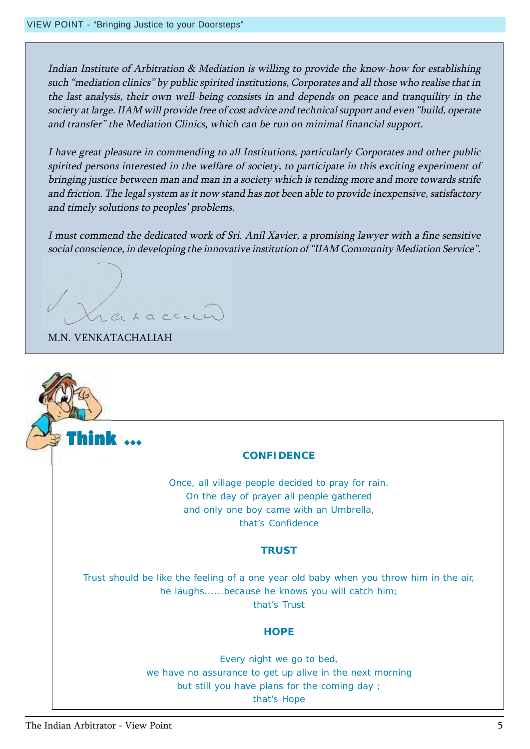Indian Institute of Arbitration & Mediation is willing to provide the know-how for establishing such "mediation clinics" by public spirited institutions, Corporates and all those who realise that in the last analysis, their own well-being consists in and depends on peace and tranquility in the society at large. IIAM will provide free of cost advice and technical support and even "build, operate and transfer" the Mediation Clinics, which can be run on minimal financial support.

I have great pleasure in commending to all Institutions, particularly Corporates and other public spirited persons interested in the welfare of society, to participate in this exciting experiment of bringing justice between man and man in a society which is tending more and more towards strife and friction. The legal system as it now stand has not been able to provide inexpensive, satisfactory and timely solutions to peoples' problems.

I must commend the dedicated work of Sri. Anil Xavier, a promising lawyer with a fine sensitive social conscience, in developing the innovative institution of "IIAM Community Mediation Service".

ahaccecc

M.N. VENKATACHALIAH

Think  $\,\cdots\,$ 

#### **CONFIDENCE**

Once, all village people decided to pray for rain. On the day of prayer all people gathered and only one boy came with an Umbrella, that's Confidence

#### **TRUST**

Trust should be like the feeling of a one year old baby when you throw him in the air, he laughs......because he knows you will catch him; that's Trust

#### **HOPE**

Every night we go to bed, we have no assurance to get up alive in the next morning but still you have plans for the coming day ; that's Hope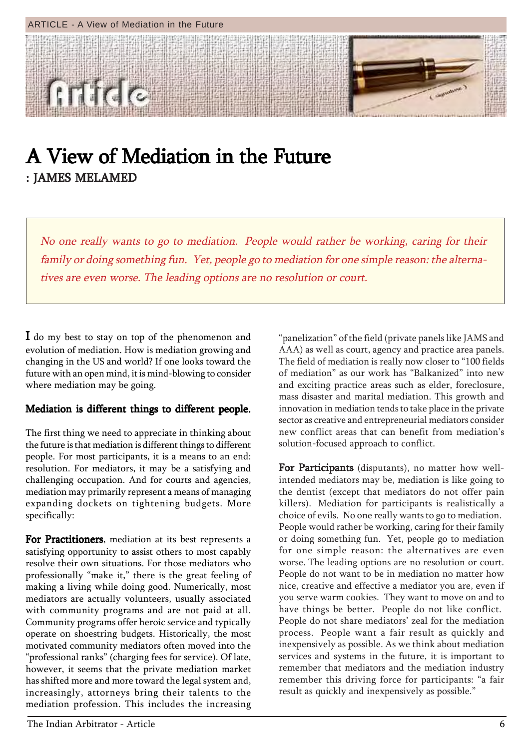

### A View of Mediation in the Future : JAMES MELAMED

No one really wants to go to mediation. People would rather be working, caring for their family or doing something fun. Yet, people go to mediation for one simple reason: the alternatives are even worse. The leading options are no resolution or court.

I do my best to stay on top of the phenomenon and evolution of mediation. How is mediation growing and changing in the US and world? If one looks toward the future with an open mind, it is mind-blowing to consider where mediation may be going.

#### Mediation is different things to different people.

The first thing we need to appreciate in thinking about the future is that mediation is different things to different people. For most participants, it is a means to an end: resolution. For mediators, it may be a satisfying and challenging occupation. And for courts and agencies, mediation may primarily represent a means of managing expanding dockets on tightening budgets. More specifically:

For Practitioners, mediation at its best represents a satisfying opportunity to assist others to most capably resolve their own situations. For those mediators who professionally "make it," there is the great feeling of making a living while doing good. Numerically, most mediators are actually volunteers, usually associated with community programs and are not paid at all. Community programs offer heroic service and typically operate on shoestring budgets. Historically, the most motivated community mediators often moved into the "professional ranks" (charging fees for service). Of late, however, it seems that the private mediation market has shifted more and more toward the legal system and, increasingly, attorneys bring their talents to the mediation profession. This includes the increasing

"panelization" of the field (private panels like JAMS and AAA) as well as court, agency and practice area panels. The field of mediation is really now closer to "100 fields of mediation" as our work has "Balkanized" into new and exciting practice areas such as elder, foreclosure, mass disaster and marital mediation. This growth and innovation in mediation tends to take place in the private sector as creative and entrepreneurial mediators consider new conflict areas that can benefit from mediation's solution-focused approach to conflict.

For Participants (disputants), no matter how wellintended mediators may be, mediation is like going to the dentist (except that mediators do not offer pain killers). Mediation for participants is realistically a choice of evils. No one really wants to go to mediation. People would rather be working, caring for their family or doing something fun. Yet, people go to mediation for one simple reason: the alternatives are even worse. The leading options are no resolution or court. People do not want to be in mediation no matter how nice, creative and effective a mediator you are, even if you serve warm cookies. They want to move on and to have things be better. People do not like conflict. People do not share mediators' zeal for the mediation process. People want a fair result as quickly and inexpensively as possible. As we think about mediation services and systems in the future, it is important to remember that mediators and the mediation industry remember this driving force for participants: "a fair result as quickly and inexpensively as possible."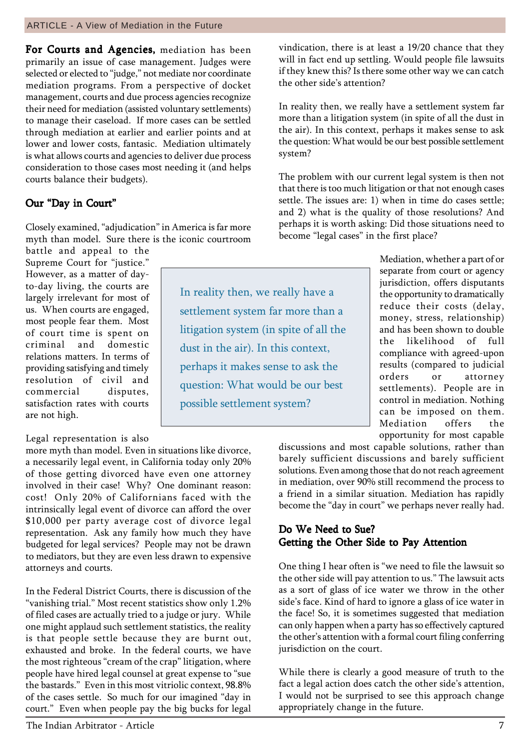For Courts and Agencies, mediation has been primarily an issue of case management. Judges were selected or elected to "judge," not mediate nor coordinate mediation programs. From a perspective of docket management, courts and due process agencies recognize their need for mediation (assisted voluntary settlements) to manage their caseload. If more cases can be settled through mediation at earlier and earlier points and at lower and lower costs, fantasic. Mediation ultimately is what allows courts and agencies to deliver due process consideration to those cases most needing it (and helps courts balance their budgets).

#### Our "Day in Court"

Closely examined, "adjudication" in America is far more myth than model. Sure there is the iconic courtroom

battle and appeal to the Supreme Court for "justice." However, as a matter of dayto-day living, the courts are largely irrelevant for most of us. When courts are engaged, most people fear them. Most of court time is spent on criminal and domestic relations matters. In terms of providing satisfying and timely resolution of civil and commercial disputes, satisfaction rates with courts are not high.

#### Legal representation is also

more myth than model. Even in situations like divorce, a necessarily legal event, in California today only 20% of those getting divorced have even one attorney involved in their case! Why? One dominant reason: cost! Only 20% of Californians faced with the intrinsically legal event of divorce can afford the over \$10,000 per party average cost of divorce legal representation. Ask any family how much they have budgeted for legal services? People may not be drawn to mediators, but they are even less drawn to expensive attorneys and courts.

In the Federal District Courts, there is discussion of the "vanishing trial." Most recent statistics show only 1.2% of filed cases are actually tried to a judge or jury. While one might applaud such settlement statistics, the reality is that people settle because they are burnt out, exhausted and broke. In the federal courts, we have the most righteous "cream of the crap" litigation, where people have hired legal counsel at great expense to "sue the bastards." Even in this most vitriolic context, 98.8% of the cases settle. So much for our imagined "day in court." Even when people pay the big bucks for legal

In reality then, we really have a settlement system far more than a litigation system (in spite of all the dust in the air). In this context, perhaps it makes sense to ask the question: What would be our best possible settlement system?

vindication, there is at least a 19/20 chance that they will in fact end up settling. Would people file lawsuits if they knew this? Is there some other way we can catch the other side's attention?

In reality then, we really have a settlement system far more than a litigation system (in spite of all the dust in the air). In this context, perhaps it makes sense to ask the question: What would be our best possible settlement system?

The problem with our current legal system is then not that there is too much litigation or that not enough cases settle. The issues are: 1) when in time do cases settle; and 2) what is the quality of those resolutions? And perhaps it is worth asking: Did those situations need to become "legal cases" in the first place?

> Mediation, whether a part of or separate from court or agency jurisdiction, offers disputants the opportunity to dramatically reduce their costs (delay, money, stress, relationship) and has been shown to double the likelihood of full compliance with agreed-upon results (compared to judicial orders or attorney settlements). People are in control in mediation. Nothing can be imposed on them. Mediation offers the opportunity for most capable

discussions and most capable solutions, rather than barely sufficient discussions and barely sufficient solutions. Even among those that do not reach agreement in mediation, over 90% still recommend the process to a friend in a similar situation. Mediation has rapidly become the "day in court" we perhaps never really had.

#### Do We Need to Sue? Getting the Other Side to Pay Attention

One thing I hear often is "we need to file the lawsuit so the other side will pay attention to us." The lawsuit acts as a sort of glass of ice water we throw in the other side's face. Kind of hard to ignore a glass of ice water in the face! So, it is sometimes suggested that mediation can only happen when a party has so effectively captured the other's attention with a formal court filing conferring jurisdiction on the court.

While there is clearly a good measure of truth to the fact a legal action does catch the other side's attention, I would not be surprised to see this approach change appropriately change in the future.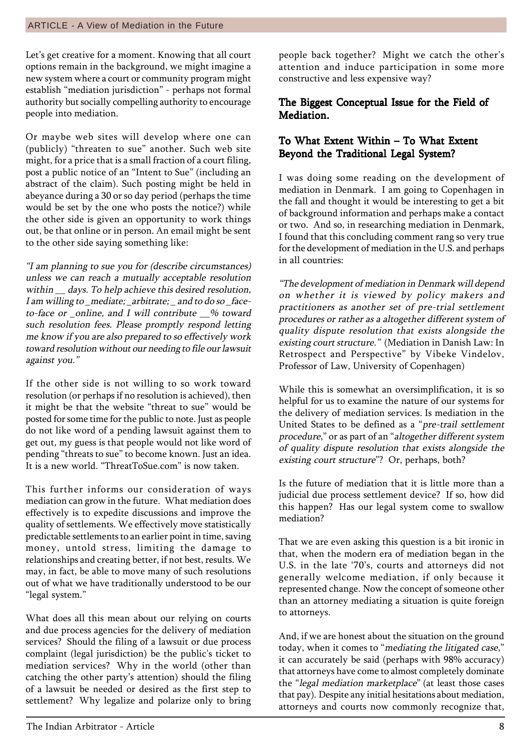Let's get creative for a moment. Knowing that all court options remain in the background, we might imagine a new system where a court or community program might establish "mediation jurisdiction" - perhaps not formal authority but socially compelling authority to encourage people into mediation.

Or maybe web sites will develop where one can (publicly) "threaten to sue" another. Such web site might, for a price that is a small fraction of a court filing, post a public notice of an "Intent to Sue" (including an abstract of the claim). Such posting might be held in abeyance during a 30 or so day period (perhaps the time would be set by the one who posts the notice?) while the other side is given an opportunity to work things out, be that online or in person. An email might be sent to the other side saying something like:

"I am planning to sue you for (describe circumstances) unless we can reach a mutually acceptable resolution within \_\_ days. To help achieve this desired resolution, I am willing to \_mediate; \_arbitrate; \_ and to do so \_faceto-face or \_online, and I will contribute \_\_% toward such resolution fees. Please promptly respond letting me know if you are also prepared to so effectively work toward resolution without our needing to file our lawsuit against you."

If the other side is not willing to so work toward resolution (or perhaps if no resolution is achieved), then it might be that the website "threat to sue" would be posted for some time for the public to note. Just as people do not like word of a pending lawsuit against them to get out, my guess is that people would not like word of pending "threats to sue" to become known. Just an idea. It is a new world. "ThreatToSue.com" is now taken.

This further informs our consideration of ways mediation can grow in the future. What mediation does effectively is to expedite discussions and improve the quality of settlements. We effectively move statistically predictable settlements to an earlier point in time, saving money, untold stress, limiting the damage to relationships and creating better, if not best, results. We may, in fact, be able to move many of such resolutions out of what we have traditionally understood to be our "legal system."

What does all this mean about our relying on courts and due process agencies for the delivery of mediation services? Should the filing of a lawsuit or due process complaint (legal jurisdiction) be the public's ticket to mediation services? Why in the world (other than catching the other party's attention) should the filing of a lawsuit be needed or desired as the first step to settlement? Why legalize and polarize only to bring

people back together? Might we catch the other's attention and induce participation in some more constructive and less expensive way?

#### The Biggest Conceptual Issue for the Field of **Mediation**

#### To What Extent Within - To What Extent Beyond the Traditional Legal System?

I was doing some reading on the development of mediation in Denmark. I am going to Copenhagen in the fall and thought it would be interesting to get a bit of background information and perhaps make a contact or two. And so, in researching mediation in Denmark, I found that this concluding comment rang so very true for the development of mediation in the U.S. and perhaps in all countries:

ìThe development of mediation in Denmark will depend on whether it is viewed by policy makers and practitioners as another set of pre-trial settlement procedures or rather as a altogether different system of quality dispute resolution that exists alongside the existing court structure." (Mediation in Danish Law: In Retrospect and Perspective" by Vibeke Vindelov, Professor of Law, University of Copenhagen)

While this is somewhat an oversimplification, it is so helpful for us to examine the nature of our systems for the delivery of mediation services. Is mediation in the United States to be defined as a "pre-trail settlement procedure," or as part of an "altogether different system of quality dispute resolution that exists alongside the existing court structure"? Or, perhaps, both?

Is the future of mediation that it is little more than a judicial due process settlement device? If so, how did this happen? Has our legal system come to swallow mediation?

That we are even asking this question is a bit ironic in that, when the modern era of mediation began in the U.S. in the late '70's, courts and attorneys did not generally welcome mediation, if only because it represented change. Now the concept of someone other than an attorney mediating a situation is quite foreign to attorneys.

And, if we are honest about the situation on the ground today, when it comes to "mediating the litigated case," it can accurately be said (perhaps with 98% accuracy) that attorneys have come to almost completely dominate the "legal mediation marketplace" (at least those cases that pay). Despite any initial hesitations about mediation, attorneys and courts now commonly recognize that,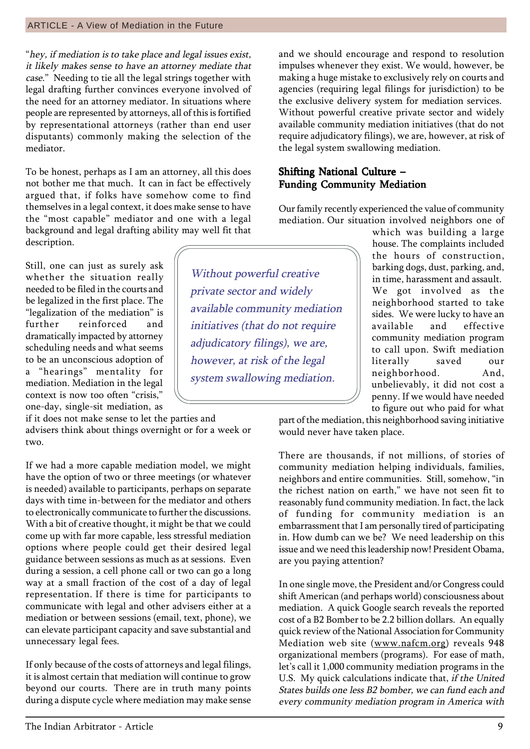If only because of the costs of attorneys and legal filings, it is almost certain that mediation will continue to grow beyond our courts. There are in truth many points during a dispute cycle where mediation may make sense

way at a small fraction of the cost of a day of legal representation. If there is time for participants to communicate with legal and other advisers either at a mediation or between sessions (email, text, phone), we

people are represented by attorneys, all of this is fortified by representational attorneys (rather than end user disputants) commonly making the selection of the

To be honest, perhaps as I am an attorney, all this does not bother me that much. It can in fact be effectively argued that, if folks have somehow come to find themselves in a legal context, it does make sense to have the "most capable" mediator and one with a legal background and legal drafting ability may well fit that description.

Still, one can just as surely ask whether the situation really needed to be filed in the courts and be legalized in the first place. The "legalization of the mediation" is further reinforced and dramatically impacted by attorney scheduling needs and what seems to be an unconscious adoption of a "hearings" mentality for mediation. Mediation in the legal context is now too often "crisis," one-day, single-sit mediation, as

mediator.

if it does not make sense to let the parties and advisers think about things overnight or for a week or two.

If we had a more capable mediation model, we might have the option of two or three meetings (or whatever is needed) available to participants, perhaps on separate days with time in-between for the mediator and others to electronically communicate to further the discussions. With a bit of creative thought, it might be that we could come up with far more capable, less stressful mediation options where people could get their desired legal guidance between sessions as much as at sessions. Even during a session, a cell phone call or two can go a long and we should encourage and respond to resolution impulses whenever they exist. We would, however, be making a huge mistake to exclusively rely on courts and agencies (requiring legal filings for jurisdiction) to be the exclusive delivery system for mediation services. Without powerful creative private sector and widely available community mediation initiatives (that do not require adjudicatory filings), we are, however, at risk of the legal system swallowing mediation.

#### Shifting National Culture -Funding Community Mediation

Our family recently experienced the value of community mediation. Our situation involved neighbors one of

> which was building a large house. The complaints included the hours of construction, barking dogs, dust, parking, and, in time, harassment and assault. We got involved as the neighborhood started to take sides. We were lucky to have an available and effective community mediation program to call upon. Swift mediation literally saved our neighborhood. And, unbelievably, it did not cost a penny. If we would have needed to figure out who paid for what

part of the mediation, this neighborhood saving initiative would never have taken place.

There are thousands, if not millions, of stories of community mediation helping individuals, families, neighbors and entire communities. Still, somehow, "in the richest nation on earth," we have not seen fit to reasonably fund community mediation. In fact, the lack of funding for community mediation is an embarrassment that I am personally tired of participating in. How dumb can we be? We need leadership on this issue and we need this leadership now! President Obama, are you paying attention?

In one single move, the President and/or Congress could shift American (and perhaps world) consciousness about mediation. A quick Google search reveals the reported cost of a B2 Bomber to be 2.2 billion dollars. An equally quick review of the National Association for Community Mediation web site (www.nafcm.org) reveals 948 organizational members (programs). For ease of math, let's call it 1,000 community mediation programs in the U.S. My quick calculations indicate that, if the United States builds one less B2 bomber, we can fund each and every community mediation program in America with

Without powerful creative private sector and widely available community mediation initiatives (that do not require adjudicatory filings), we are, however, at risk of the legal system swallowing mediation.

"hey, if mediation is to take place and legal issues exist, it likely makes sense to have an attorney mediate that case." Needing to tie all the legal strings together with legal drafting further convinces everyone involved of the need for an attorney mediator. In situations where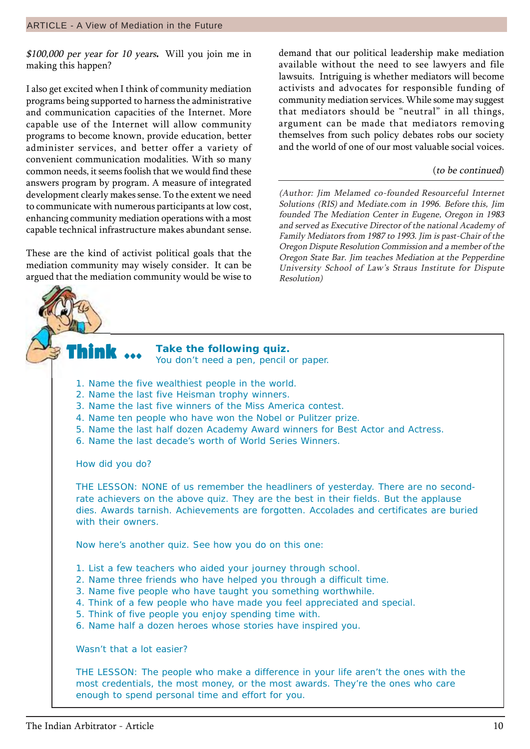$$100,000$  per year for 10 years. Will you join me in making this happen?

I also get excited when I think of community mediation programs being supported to harness the administrative and communication capacities of the Internet. More capable use of the Internet will allow community programs to become known, provide education, better administer services, and better offer a variety of convenient communication modalities. With so many common needs, it seems foolish that we would find these answers program by program. A measure of integrated development clearly makes sense. To the extent we need to communicate with numerous participants at low cost, enhancing community mediation operations with a most capable technical infrastructure makes abundant sense.

These are the kind of activist political goals that the mediation community may wisely consider. It can be argued that the mediation community would be wise to

demand that our political leadership make mediation available without the need to see lawyers and file lawsuits. Intriguing is whether mediators will become activists and advocates for responsible funding of community mediation services. While some may suggest that mediators should be "neutral" in all things, argument can be made that mediators removing themselves from such policy debates robs our society and the world of one of our most valuable social voices.

#### (to be continued)

(Author: Jim Melamed co-founded Resourceful Internet Solutions (RIS) and Mediate.com in 1996. Before this, Jim founded The Mediation Center in Eugene, Oregon in 1983 and served as Executive Director of the national Academy of Family Mediators from 1987 to 1993. Jim is past-Chair of the Oregon Dispute Resolution Commission and a member of the Oregon State Bar. Jim teaches Mediation at the Pepperdine University School of Law's Straus Institute for Dispute Resolution)

#### **Take the following quiz.** You don't need a pen, pencil or paper.

- 1. Name the five wealthiest people in the world.
- 2. Name the last five Heisman trophy winners.
- 3. Name the last five winners of the Miss America contest.
- 4. Name ten people who have won the Nobel or Pulitzer prize.
- 5. Name the last half dozen Academy Award winners for Best Actor and Actress.
- 6. Name the last decade's worth of World Series Winners.

How did you do?

Think  $\, \cdots \,$ 

THE LESSON: NONE of us remember the headliners of yesterday. There are no secondrate achievers on the above quiz. They are the best in their fields. But the applause dies. Awards tarnish. Achievements are forgotten. Accolades and certificates are buried with their owners.

Now here's another quiz. See how you do on this one:

- 1. List a few teachers who aided your journey through school.
- 2. Name three friends who have helped you through a difficult time.
- 3. Name five people who have taught you something worthwhile.
- 4. Think of a few people who have made you feel appreciated and special.
- 5. Think of five people you enjoy spending time with.
- 6. Name half a dozen heroes whose stories have inspired you.

Wasn't that a lot easier?

THE LESSON: The people who make a difference in your life aren't the ones with the most credentials, the most money, or the most awards. They're the ones who care enough to spend personal time and effort for you.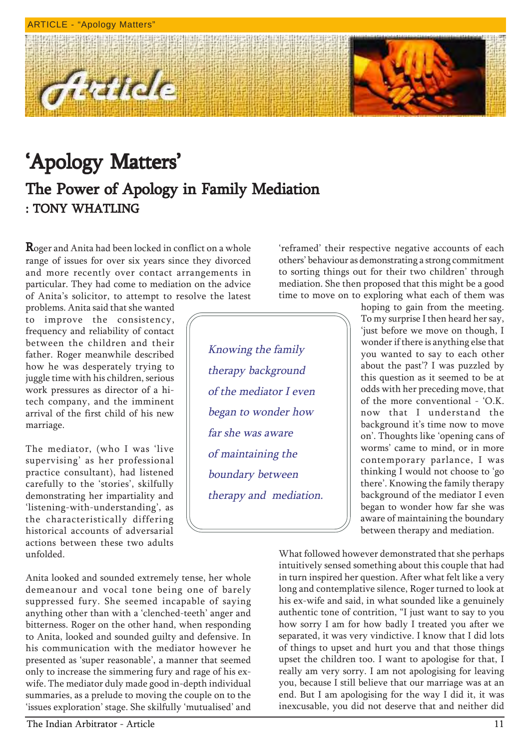Article



Roger and Anita had been locked in conflict on a whole range of issues for over six years since they divorced and more recently over contact arrangements in particular. They had come to mediation on the advice of Anitaís solicitor, to attempt to resolve the latest

problems. Anita said that she wanted to improve the consistency, frequency and reliability of contact between the children and their father. Roger meanwhile described how he was desperately trying to juggle time with his children, serious work pressures as director of a hitech company, and the imminent arrival of the first child of his new marriage.

The mediator, (who I was 'live supervising' as her professional practice consultant), had listened carefully to the 'stories', skilfully demonstrating her impartiality and 'listening-with-understanding', as the characteristically differing historical accounts of adversarial actions between these two adults unfolded.

Anita looked and sounded extremely tense, her whole demeanour and vocal tone being one of barely suppressed fury. She seemed incapable of saying anything other than with a 'clenched-teeth' anger and bitterness. Roger on the other hand, when responding to Anita, looked and sounded guilty and defensive. In his communication with the mediator however he presented as 'super reasonable', a manner that seemed only to increase the simmering fury and rage of his exwife. The mediator duly made good in-depth individual summaries, as a prelude to moving the couple on to the 'issues exploration' stage. She skilfully 'mutualised' and

Knowing the family therapy background of the mediator I even began to wonder how far she was aware of maintaining the boundary between therapy and mediation.

'reframed' their respective negative accounts of each others' behaviour as demonstrating a strong commitment to sorting things out for their two children' through mediation. She then proposed that this might be a good time to move on to exploring what each of them was

> hoping to gain from the meeting. To my surprise I then heard her say, 'just before we move on though, I wonder if there is anything else that you wanted to say to each other about the past? I was puzzled by this question as it seemed to be at odds with her preceding move, that of the more conventional - ëO.K. now that I understand the background it's time now to move on'. Thoughts like 'opening cans of worms' came to mind, or in more contemporary parlance, I was thinking I would not choose to 'go there'. Knowing the family therapy background of the mediator I even began to wonder how far she was aware of maintaining the boundary between therapy and mediation.

What followed however demonstrated that she perhaps intuitively sensed something about this couple that had in turn inspired her question. After what felt like a very long and contemplative silence, Roger turned to look at his ex-wife and said, in what sounded like a genuinely authentic tone of contrition, "I just want to say to you how sorry I am for how badly I treated you after we separated, it was very vindictive. I know that I did lots of things to upset and hurt you and that those things upset the children too. I want to apologise for that, I really am very sorry. I am not apologising for leaving you, because I still believe that our marriage was at an end. But I am apologising for the way I did it, it was inexcusable, you did not deserve that and neither did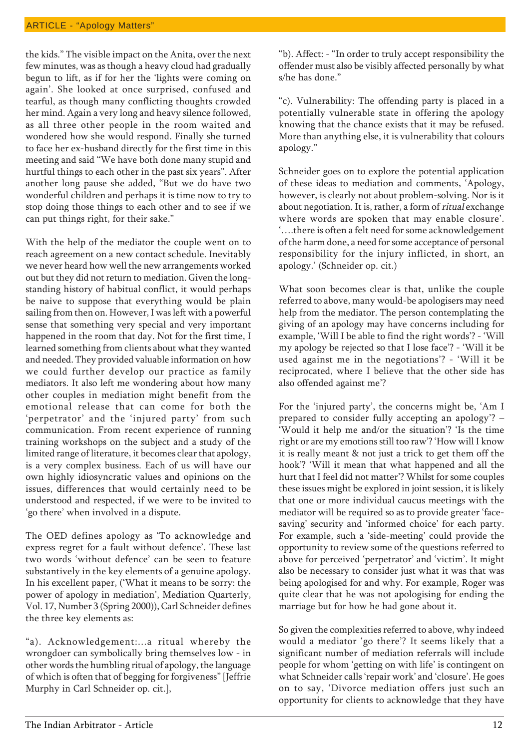the kids." The visible impact on the Anita, over the next few minutes, was as though a heavy cloud had gradually begun to lift, as if for her the 'lights were coming on again'. She looked at once surprised, confused and tearful, as though many conflicting thoughts crowded her mind. Again a very long and heavy silence followed, as all three other people in the room waited and wondered how she would respond. Finally she turned to face her ex-husband directly for the first time in this meeting and said "We have both done many stupid and hurtful things to each other in the past six years". After another long pause she added, "But we do have two wonderful children and perhaps it is time now to try to stop doing those things to each other and to see if we can put things right, for their sake."

With the help of the mediator the couple went on to reach agreement on a new contact schedule. Inevitably we never heard how well the new arrangements worked out but they did not return to mediation. Given the longstanding history of habitual conflict, it would perhaps be naive to suppose that everything would be plain sailing from then on. However, I was left with a powerful sense that something very special and very important happened in the room that day. Not for the first time, I learned something from clients about what they wanted and needed. They provided valuable information on how we could further develop our practice as family mediators. It also left me wondering about how many other couples in mediation might benefit from the emotional release that can come for both the 'perpetrator' and the 'injured party' from such communication. From recent experience of running training workshops on the subject and a study of the limited range of literature, it becomes clear that apology, is a very complex business. Each of us will have our own highly idiosyncratic values and opinions on the issues, differences that would certainly need to be understood and respected, if we were to be invited to 'go there' when involved in a dispute.

The OED defines apology as 'To acknowledge and express regret for a fault without defence'. These last two words 'without defence' can be seen to feature substantively in the key elements of a genuine apology. In his excellent paper, (ëWhat it means to be sorry: the power of apology in mediation', Mediation Quarterly, Vol. 17, Number 3 (Spring 2000)), Carl Schneider defines the three key elements as:

"a). Acknowledgement:...a ritual whereby the wrongdoer can symbolically bring themselves low - in other words the humbling ritual of apology, the language of which is often that of begging for forgiveness" [Jeffrie Murphy in Carl Schneider op. cit.],

"b). Affect: - "In order to truly accept responsibility the offender must also be visibly affected personally by what s/he has done."

ìc). Vulnerability: The offending party is placed in a potentially vulnerable state in offering the apology knowing that the chance exists that it may be refused. More than anything else, it is vulnerability that colours apology."

Schneider goes on to explore the potential application of these ideas to mediation and comments, ëApology, however, is clearly not about problem-solving. Nor is it about negotiation. It is, rather, a form of ritual exchange where words are spoken that may enable closure'. there is often a felt need for some acknowledgement of the harm done, a need for some acceptance of personal responsibility for the injury inflicted, in short, an apology.' (Schneider op. cit.)

What soon becomes clear is that, unlike the couple referred to above, many would-be apologisers may need help from the mediator. The person contemplating the giving of an apology may have concerns including for example, 'Will I be able to find the right words'? - 'Will my apology be rejected so that I lose face'? - 'Will it be used against me in the negotiations'? - 'Will it be reciprocated, where I believe that the other side has also offended against me'?

For the 'injured party', the concerns might be, 'Am I prepared to consider fully accepting an apology?  $-$ 'Would it help me and/or the situation'? 'Is the time right or are my emotions still too raw'? 'How will I know it is really meant & not just a trick to get them off the hook'? 'Will it mean that what happened and all the hurt that I feel did not matter'? Whilst for some couples these issues might be explored in joint session, it is likely that one or more individual caucus meetings with the mediator will be required so as to provide greater 'facesaving' security and 'informed choice' for each party. For example, such a 'side-meeting' could provide the opportunity to review some of the questions referred to above for perceived 'perpetrator' and 'victim'. It might also be necessary to consider just what it was that was being apologised for and why. For example, Roger was quite clear that he was not apologising for ending the marriage but for how he had gone about it.

So given the complexities referred to above, why indeed would a mediator 'go there'? It seems likely that a significant number of mediation referrals will include people for whom 'getting on with life' is contingent on what Schneider calls 'repair work' and 'closure'. He goes on to say, 'Divorce mediation offers just such an opportunity for clients to acknowledge that they have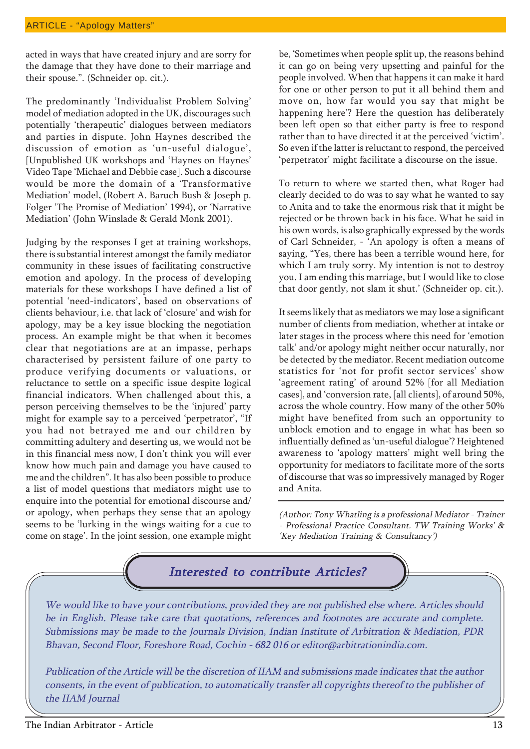acted in ways that have created injury and are sorry for the damage that they have done to their marriage and their spouse.". (Schneider op. cit.).

The predominantly 'Individualist Problem Solving' model of mediation adopted in the UK, discourages such potentially 'therapeutic' dialogues between mediators and parties in dispute. John Haynes described the discussion of emotion as 'un-useful dialogue', [Unpublished UK workshops and 'Haynes on Haynes' Video Tape ëMichael and Debbie case]. Such a discourse would be more the domain of a 'Transformative Mediation' model, (Robert A. Baruch Bush & Joseph p. Folger 'The Promise of Mediation' 1994), or 'Narrative Mediation' (John Winslade & Gerald Monk 2001).

Judging by the responses I get at training workshops, there is substantial interest amongst the family mediator community in these issues of facilitating constructive emotion and apology. In the process of developing materials for these workshops I have defined a list of potential 'need-indicators', based on observations of clients behaviour, i.e. that lack of 'closure' and wish for apology, may be a key issue blocking the negotiation process. An example might be that when it becomes clear that negotiations are at an impasse, perhaps characterised by persistent failure of one party to produce verifying documents or valuations, or reluctance to settle on a specific issue despite logical financial indicators. When challenged about this, a person perceiving themselves to be the 'injured' party might for example say to a perceived 'perpetrator', "If you had not betrayed me and our children by committing adultery and deserting us, we would not be in this financial mess now, I don't think you will ever know how much pain and damage you have caused to me and the childrenî. It has also been possible to produce a list of model questions that mediators might use to enquire into the potential for emotional discourse and/ or apology, when perhaps they sense that an apology seems to be 'lurking in the wings waiting for a cue to come on stage'. In the joint session, one example might

be, 'Sometimes when people split up, the reasons behind it can go on being very upsetting and painful for the people involved. When that happens it can make it hard for one or other person to put it all behind them and move on, how far would you say that might be happening here'? Here the question has deliberately been left open so that either party is free to respond rather than to have directed it at the perceived 'victim'. So even if the latter is reluctant to respond, the perceived 'perpetrator' might facilitate a discourse on the issue.

To return to where we started then, what Roger had clearly decided to do was to say what he wanted to say to Anita and to take the enormous risk that it might be rejected or be thrown back in his face. What he said in his own words, is also graphically expressed by the words of Carl Schneider, - 'An apology is often a means of saying, "Yes, there has been a terrible wound here, for which I am truly sorry. My intention is not to destroy you. I am ending this marriage, but I would like to close that door gently, not slam it shut.' (Schneider op. cit.).

It seems likely that as mediators we may lose a significant number of clients from mediation, whether at intake or later stages in the process where this need for 'emotion talk' and/or apology might neither occur naturally, nor be detected by the mediator. Recent mediation outcome statistics for 'not for profit sector services' show 'agreement rating' of around 52% [for all Mediation cases], and ëconversion rate, [all clients], of around 50%, across the whole country. How many of the other 50% might have benefited from such an opportunity to unblock emotion and to engage in what has been so influentially defined as 'un-useful dialogue'? Heightened awareness to 'apology matters' might well bring the opportunity for mediators to facilitate more of the sorts of discourse that was so impressively managed by Roger and Anita.

(Author: Tony Whatling is a professional Mediator - Trainer - Professional Practice Consultant. TW Training Works' & ëKey Mediation Training & Consultancyí)

### Interested to contribute Articles?

We would like to have your contributions, provided they are not published else where. Articles should be in English. Please take care that quotations, references and footnotes are accurate and complete. Submissions may be made to the Journals Division, Indian Institute of Arbitration & Mediation, PDR Bhavan, Second Floor, Foreshore Road, Cochin - 682 016 or editor@arbitrationindia.com.

Publication of the Article will be the discretion of IIAM and submissions made indicates that the author consents, in the event of publication, to automatically transfer all copyrights thereof to the publisher of the IIAM Journal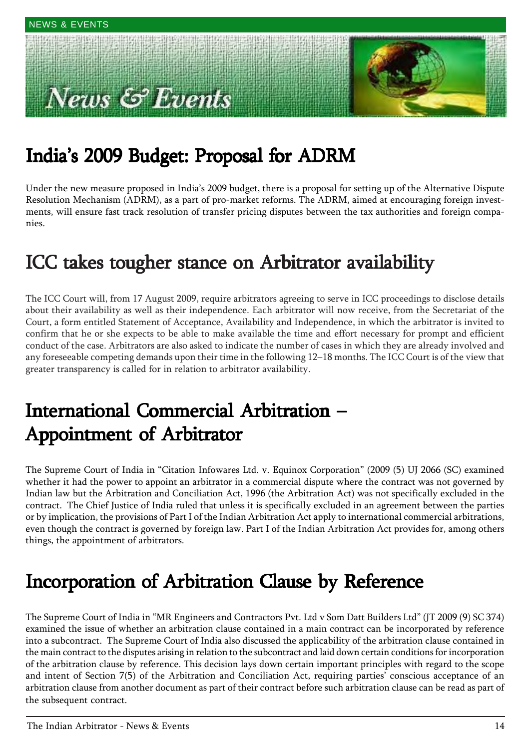# ews & Events



## Indiaís 2009 Budget: Proposal for ADRM

Under the new measure proposed in Indiaís 2009 budget, there is a proposal for setting up of the Alternative Dispute Resolution Mechanism (ADRM), as a part of pro-market reforms. The ADRM, aimed at encouraging foreign investments, will ensure fast track resolution of transfer pricing disputes between the tax authorities and foreign companies.

### ICC takes tougher stance on Arbitrator availability

The ICC Court will, from 17 August 2009, require arbitrators agreeing to serve in ICC proceedings to disclose details about their availability as well as their independence. Each arbitrator will now receive, from the Secretariat of the Court, a form entitled Statement of Acceptance, Availability and Independence, in which the arbitrator is invited to confirm that he or she expects to be able to make available the time and effort necessary for prompt and efficient conduct of the case. Arbitrators are also asked to indicate the number of cases in which they are already involved and any foreseeable competing demands upon their time in the following 12–18 months. The ICC Court is of the view that greater transparency is called for in relation to arbitrator availability.

### International Commercial Arbitration -Appointment of Arbitrator

The Supreme Court of India in "Citation Infowares Ltd. v. Equinox Corporation" (2009 (5) UJ 2066 (SC) examined whether it had the power to appoint an arbitrator in a commercial dispute where the contract was not governed by Indian law but the Arbitration and Conciliation Act, 1996 (the Arbitration Act) was not specifically excluded in the contract. The Chief Justice of India ruled that unless it is specifically excluded in an agreement between the parties or by implication, the provisions of Part I of the Indian Arbitration Act apply to international commercial arbitrations, even though the contract is governed by foreign law. Part I of the Indian Arbitration Act provides for, among others things, the appointment of arbitrators.

### Incorporation of Arbitration Clause by Reference

The Supreme Court of India in "MR Engineers and Contractors Pvt. Ltd v Som Datt Builders Ltd" (JT 2009 (9) SC 374) examined the issue of whether an arbitration clause contained in a main contract can be incorporated by reference into a subcontract. The Supreme Court of India also discussed the applicability of the arbitration clause contained in the main contract to the disputes arising in relation to the subcontract and laid down certain conditions for incorporation of the arbitration clause by reference. This decision lays down certain important principles with regard to the scope and intent of Section 7(5) of the Arbitration and Conciliation Act, requiring parties' conscious acceptance of an arbitration clause from another document as part of their contract before such arbitration clause can be read as part of the subsequent contract.